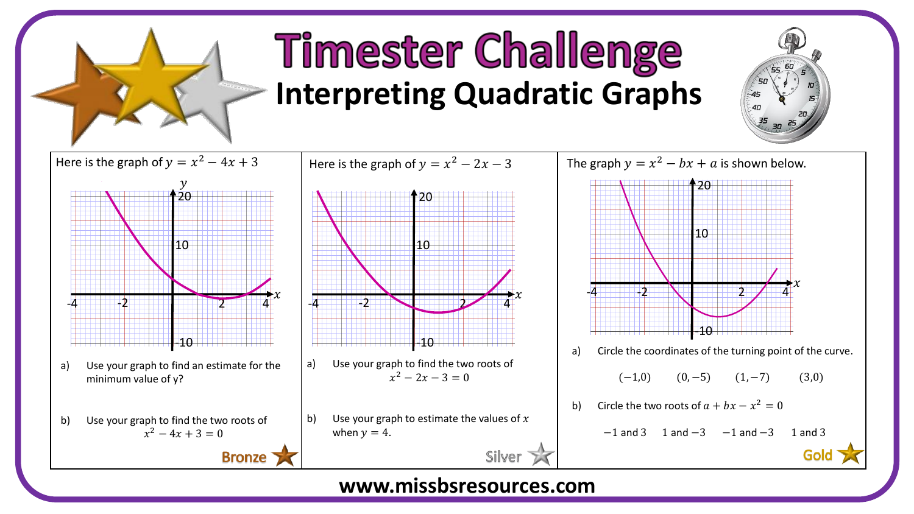

## **Timester Challenge Interpreting Quadratic Graphs**





**www.missbsresources.com**